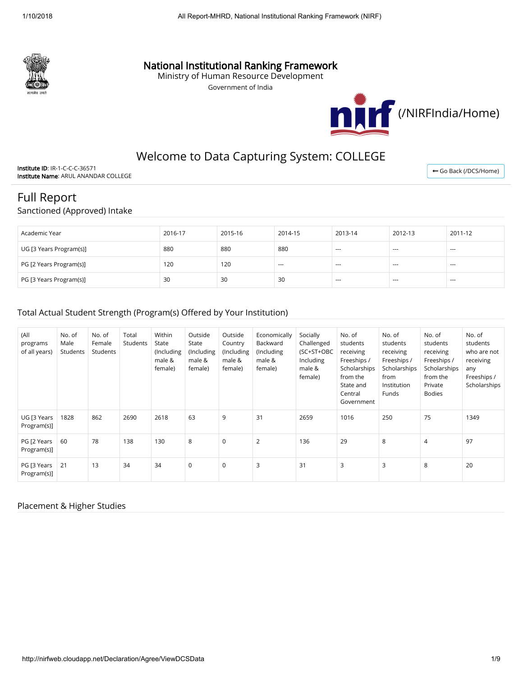

## National Institutional Ranking Framework

Ministry of Human Resource Development

Government of India



## Welcome to Data Capturing System: COLLEGE

Institute ID: IR-1-C-C-C-36571 Institute Name: ARUL ANANDAR COLLEGE

← [Go Back \(/DCS/Home\)](http://nirfweb.cloudapp.net/DCS/Home)

# Full Report

Sanctioned (Approved) Intake

| Academic Year           | 2016-17 | 2015-16 | 2014-15 | 2013-14 | 2012-13 | 2011-12 |
|-------------------------|---------|---------|---------|---------|---------|---------|
| UG [3 Years Program(s)] | 880     | 880     | 880     | $--$    | $---$   | $- - -$ |
| PG [2 Years Program(s)] | 120     | 120     | $- - -$ | $- - -$ | $- - -$ | $- - -$ |
| PG [3 Years Program(s)] | 30      | 30      | 30      | $- - -$ | $- - -$ | $- - -$ |

#### Total Actual Student Strength (Program(s) Offered by Your Institution)

| (All<br>programs<br>of all years) | No. of<br>Male<br>Students | No. of<br>Female<br>Students | Total<br>Students | Within<br>State<br>(Including<br>male &<br>female) | Outside<br>State<br>(Including<br>male &<br>female) | Outside<br>Country<br>(Including<br>male &<br>female) | Economically<br>Backward<br>(Including<br>male &<br>female) | Socially<br>Challenged<br>(SC+ST+OBC<br>Including<br>male &<br>female) | No. of<br>students<br>receiving<br>Freeships /<br>Scholarships<br>from the<br>State and<br>Central<br>Government | No. of<br>students<br>receiving<br>Freeships /<br>Scholarships<br>from<br>Institution<br>Funds | No. of<br>students<br>receiving<br>Freeships /<br>Scholarships<br>from the<br>Private<br><b>Bodies</b> | No. of<br>students<br>who are not<br>receiving<br>any<br>Freeships /<br>Scholarships |
|-----------------------------------|----------------------------|------------------------------|-------------------|----------------------------------------------------|-----------------------------------------------------|-------------------------------------------------------|-------------------------------------------------------------|------------------------------------------------------------------------|------------------------------------------------------------------------------------------------------------------|------------------------------------------------------------------------------------------------|--------------------------------------------------------------------------------------------------------|--------------------------------------------------------------------------------------|
| UG [3 Years<br>Program(s)]        | 1828                       | 862                          | 2690              | 2618                                               | 63                                                  | 9                                                     | 31                                                          | 2659                                                                   | 1016                                                                                                             | 250                                                                                            | 75                                                                                                     | 1349                                                                                 |
| PG [2 Years<br>Program(s)]        | 60                         | 78                           | 138               | 130                                                | 8                                                   | $\mathbf 0$                                           | $\overline{2}$                                              | 136                                                                    | 29                                                                                                               | 8                                                                                              | $\overline{4}$                                                                                         | 97                                                                                   |
| PG [3 Years<br>Program(s)]        | 21                         | 13                           | 34                | 34                                                 | $\mathbf 0$                                         | $\mathbf 0$                                           | 3                                                           | 31                                                                     | 3                                                                                                                | 3                                                                                              | 8                                                                                                      | 20                                                                                   |

#### Placement & Higher Studies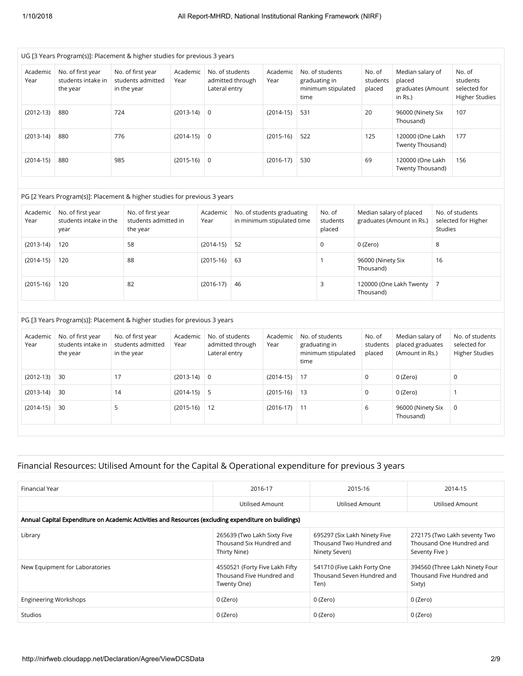| UG [3 Years Program(s)]: Placement & higher studies for previous 3 years |                                                     |                                                       |                  |                                                      |                  |                                                                |                              |                                                            |                                                             |  |  |  |
|--------------------------------------------------------------------------|-----------------------------------------------------|-------------------------------------------------------|------------------|------------------------------------------------------|------------------|----------------------------------------------------------------|------------------------------|------------------------------------------------------------|-------------------------------------------------------------|--|--|--|
| Academic<br>Year                                                         | No. of first year<br>students intake in<br>the year | No. of first year<br>students admitted<br>in the year | Academic<br>Year | No. of students<br>admitted through<br>Lateral entry | Academic<br>Year | No. of students<br>graduating in<br>minimum stipulated<br>time | No. of<br>students<br>placed | Median salary of<br>placed<br>graduates (Amount<br>in Rs.) | No. of<br>students<br>selected for<br><b>Higher Studies</b> |  |  |  |
| $(2012-13)$                                                              | 880                                                 | 724                                                   | $(2013-14)$      | $\overline{0}$                                       | $(2014-15)$      | 531                                                            | 20                           | 96000 (Ninety Six<br>Thousand)                             | 107                                                         |  |  |  |
| $(2013-14)$                                                              | 880                                                 | 776                                                   | $(2014-15)$      | $\Omega$                                             | $(2015-16)$      | 522                                                            | 125                          | 120000 (One Lakh<br>Twenty Thousand)                       | 177                                                         |  |  |  |
| $(2014-15)$                                                              | 880                                                 | 985                                                   | $(2015-16)$      | $\overline{0}$                                       | $(2016-17)$      | 530                                                            | 69                           | 120000 (One Lakh<br>Twenty Thousand)                       | 156                                                         |  |  |  |

#### PG [2 Years Program(s)]: Placement & higher studies for previous 3 years

| Academic<br>Year | No. of first year<br>students intake in the<br>year | No. of first year<br>students admitted in<br>the year | Academic<br>Year | No. of students graduating<br>in minimum stipulated time | No. of<br>students<br>placed | Median salary of placed<br>graduates (Amount in Rs.) | No. of students<br>selected for Higher<br>Studies |
|------------------|-----------------------------------------------------|-------------------------------------------------------|------------------|----------------------------------------------------------|------------------------------|------------------------------------------------------|---------------------------------------------------|
| $(2013-14)$      | 120                                                 | 58                                                    | $(2014-15)$      | 52                                                       | $\Omega$                     | 0 (Zero)                                             | 8                                                 |
| $(2014-15)$      | 120                                                 | 88                                                    | $(2015-16)$      | -63                                                      |                              | 96000 (Ninety Six<br>Thousand)                       | 16                                                |
| $(2015-16)$      | 120                                                 | 82                                                    | $(2016-17)$      | -46                                                      |                              | 120000 (One Lakh Twenty   7<br>Thousand)             |                                                   |

PG [3 Years Program(s)]: Placement & higher studies for previous 3 years

| Academic<br>Year | No. of first year<br>students intake in<br>the year | No. of first year<br>students admitted<br>in the year | Academic<br>Year | No. of students<br>admitted through<br>Lateral entry | Academic<br>Year | No. of students<br>graduating in<br>minimum stipulated<br>time | No. of<br>students<br>placed | Median salary of<br>placed graduates<br>(Amount in Rs.) | No. of students<br>selected for<br><b>Higher Studies</b> |
|------------------|-----------------------------------------------------|-------------------------------------------------------|------------------|------------------------------------------------------|------------------|----------------------------------------------------------------|------------------------------|---------------------------------------------------------|----------------------------------------------------------|
| $(2012-13)$      | -30                                                 | 17                                                    | $(2013-14)$      | 0                                                    | $(2014-15)$ 17   |                                                                | 0                            | 0 (Zero)                                                | 0                                                        |
| $(2013-14)$      | 30                                                  | 14                                                    | $(2014-15)$      | -5                                                   | $(2015-16)$ 13   |                                                                | $\mathbf 0$                  | 0 (Zero)                                                |                                                          |
| $(2014-15)$      | 30                                                  | 5                                                     | $(2015-16)$      | 12                                                   | $(2016-17)$ 11   |                                                                | 6                            | 96000 (Ninety Six<br>Thousand)                          | $\mathbf 0$                                              |

## Financial Resources: Utilised Amount for the Capital & Operational expenditure for previous 3 years

| Financial Year                                                                                       | 2016-17                                                                    | 2015-16                                                                   | 2014-15                                                                   |
|------------------------------------------------------------------------------------------------------|----------------------------------------------------------------------------|---------------------------------------------------------------------------|---------------------------------------------------------------------------|
|                                                                                                      | Utilised Amount                                                            | Utilised Amount                                                           | Utilised Amount                                                           |
| Annual Capital Expenditure on Academic Activities and Resources (excluding expenditure on buildings) |                                                                            |                                                                           |                                                                           |
| Library                                                                                              | 265639 (Two Lakh Sixty Five<br>Thousand Six Hundred and<br>Thirty Nine)    | 695297 (Six Lakh Ninety Five<br>Thousand Two Hundred and<br>Ninety Seven) | 272175 (Two Lakh seventy Two<br>Thousand One Hundred and<br>Seventy Five) |
| New Equipment for Laboratories                                                                       | 4550521 (Forty Five Lakh Fifty<br>Thousand Five Hundred and<br>Twenty One) | 541710 (Five Lakh Forty One<br>Thousand Seven Hundred and<br>Ten)         | 394560 (Three Lakh Ninety Four<br>Thousand Five Hundred and<br>Sixty)     |
| <b>Engineering Workshops</b>                                                                         | 0 (Zero)                                                                   | 0 (Zero)                                                                  | 0 (Zero)                                                                  |
| <b>Studios</b>                                                                                       | 0 (Zero)                                                                   | 0 (Zero)                                                                  | 0 (Zero)                                                                  |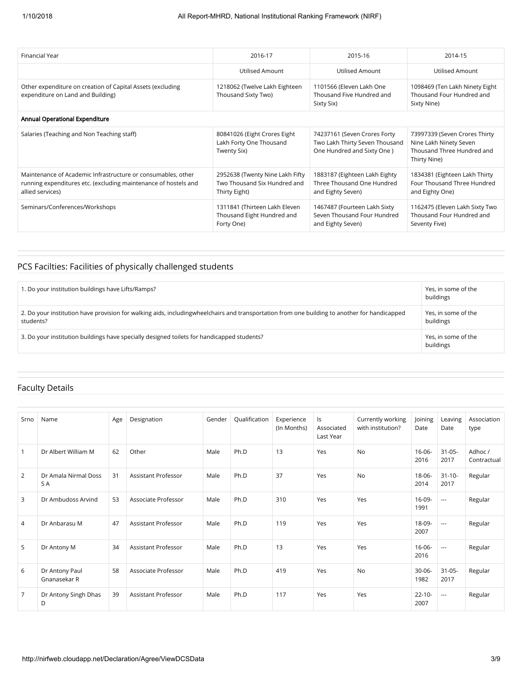| Financial Year                                                                                                                                      | 2016-17                                                                          | 2015-16                                                                                       | 2014-15                                                                                               |
|-----------------------------------------------------------------------------------------------------------------------------------------------------|----------------------------------------------------------------------------------|-----------------------------------------------------------------------------------------------|-------------------------------------------------------------------------------------------------------|
|                                                                                                                                                     | Utilised Amount                                                                  | Utilised Amount                                                                               | Utilised Amount                                                                                       |
| Other expenditure on creation of Capital Assets (excluding<br>expenditure on Land and Building)                                                     | 1218062 (Twelve Lakh Eighteen<br>Thousand Sixty Two)                             | 1101566 (Eleven Lakh One<br>Thousand Five Hundred and<br>Sixty Six)                           | 1098469 (Ten Lakh Ninety Eight<br>Thousand Four Hundred and<br>Sixty Nine)                            |
| Annual Operational Expenditure                                                                                                                      |                                                                                  |                                                                                               |                                                                                                       |
| Salaries (Teaching and Non Teaching staff)                                                                                                          | 80841026 (Eight Crores Eight<br>Lakh Forty One Thousand<br>Twenty Six)           | 74237161 (Seven Crores Forty<br>Two Lakh Thirty Seven Thousand<br>One Hundred and Sixty One ) | 73997339 (Seven Crores Thirty<br>Nine Lakh Ninety Seven<br>Thousand Three Hundred and<br>Thirty Nine) |
| Maintenance of Academic Infrastructure or consumables, other<br>running expenditures etc. (excluding maintenance of hostels and<br>allied services) | 2952638 (Twenty Nine Lakh Fifty<br>Two Thousand Six Hundred and<br>Thirty Eight) | 1883187 (Eighteen Lakh Eighty<br>Three Thousand One Hundred<br>and Eighty Seven)              | 1834381 (Eighteen Lakh Thirty<br>Four Thousand Three Hundred<br>and Eighty One)                       |
| Seminars/Conferences/Workshops                                                                                                                      | 1311841 (Thirteen Lakh Eleven<br>Thousand Eight Hundred and<br>Forty One)        | 1467487 (Fourteen Lakh Sixty<br>Seven Thousand Four Hundred<br>and Eighty Seven)              | 1162475 (Eleven Lakh Sixty Two<br>Thousand Four Hundred and<br>Seventy Five)                          |

## PCS Facilties: Facilities of physically challenged students

| 1. Do your institution buildings have Lifts/Ramps?                                                                                                        | Yes, in some of the<br>buildings |
|-----------------------------------------------------------------------------------------------------------------------------------------------------------|----------------------------------|
| 2. Do your institution have provision for walking aids, includingwheelchairs and transportation from one building to another for handicapped<br>students? | Yes, in some of the<br>buildings |
| 3. Do your institution buildings have specially designed toilets for handicapped students?                                                                | Yes, in some of the<br>buildings |

## Faculty Details

| Srno           | Name                           | Age | Designation         | Gender | Qualification | Experience<br>(In Months) | Is<br>Associated<br>Last Year | Currently working<br>with institution? | Joining<br>Date     | Leaving<br>Date          | Association<br>type    |
|----------------|--------------------------------|-----|---------------------|--------|---------------|---------------------------|-------------------------------|----------------------------------------|---------------------|--------------------------|------------------------|
| 1              | Dr Albert William M            | 62  | Other               | Male   | Ph.D          | 13                        | Yes                           | <b>No</b>                              | $16 - 06 -$<br>2016 | $31 - 05 -$<br>2017      | Adhoc /<br>Contractual |
| $\overline{2}$ | Dr Amala Nirmal Doss<br>S A    | 31  | Assistant Professor | Male   | Ph.D          | 37                        | Yes                           | <b>No</b>                              | $18 - 06 -$<br>2014 | $31 - 10 -$<br>2017      | Regular                |
| 3              | Dr Ambudoss Arvind             | 53  | Associate Professor | Male   | Ph.D          | 310                       | Yes                           | Yes                                    | $16-09-$<br>1991    | $\overline{\phantom{a}}$ | Regular                |
| 4              | Dr Anbarasu M                  | 47  | Assistant Professor | Male   | Ph.D          | 119                       | Yes                           | Yes                                    | 18-09-<br>2007      | $\overline{\phantom{a}}$ | Regular                |
| 5              | Dr Antony M                    | 34  | Assistant Professor | Male   | Ph.D          | 13                        | Yes                           | Yes                                    | $16-06-$<br>2016    | $\overline{\phantom{a}}$ | Regular                |
| 6              | Dr Antony Paul<br>Gnanasekar R | 58  | Associate Professor | Male   | Ph.D          | 419                       | Yes                           | <b>No</b>                              | $30 - 06 -$<br>1982 | $31 - 05 -$<br>2017      | Regular                |
| 7              | Dr Antony Singh Dhas<br>D      | 39  | Assistant Professor | Male   | Ph.D          | 117                       | Yes                           | Yes                                    | $22 - 10 -$<br>2007 | $\sim$                   | Regular                |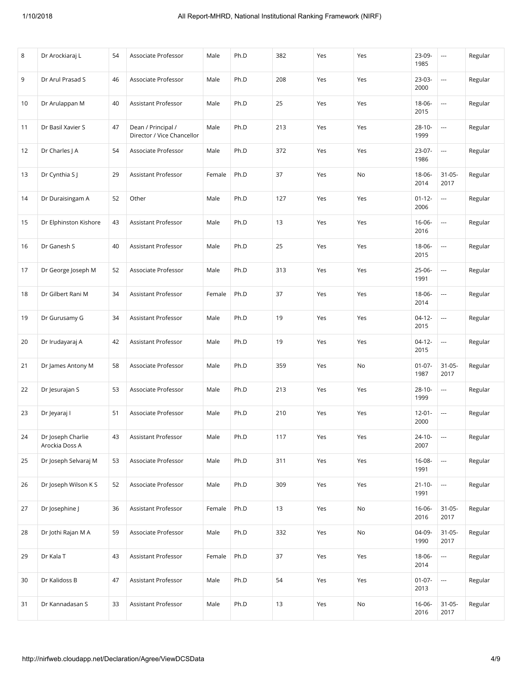| 8  | Dr Arockiaraj L                     | 54 | Associate Professor                              | Male   | Ph.D | 382 | Yes | Yes | 23-09-<br>1985      | $\overline{\phantom{a}}$ | Regular |
|----|-------------------------------------|----|--------------------------------------------------|--------|------|-----|-----|-----|---------------------|--------------------------|---------|
| 9  | Dr Arul Prasad S                    | 46 | Associate Professor                              | Male   | Ph.D | 208 | Yes | Yes | $23-03-$<br>2000    | $\overline{\phantom{a}}$ | Regular |
| 10 | Dr Arulappan M                      | 40 | <b>Assistant Professor</b>                       | Male   | Ph.D | 25  | Yes | Yes | $18 - 06 -$<br>2015 |                          | Regular |
| 11 | Dr Basil Xavier S                   | 47 | Dean / Principal /<br>Director / Vice Chancellor | Male   | Ph.D | 213 | Yes | Yes | $28 - 10 -$<br>1999 |                          | Regular |
| 12 | Dr Charles J A                      | 54 | Associate Professor                              | Male   | Ph.D | 372 | Yes | Yes | $23-07-$<br>1986    |                          | Regular |
| 13 | Dr Cynthia S J                      | 29 | Assistant Professor                              | Female | Ph.D | 37  | Yes | No  | 18-06-<br>2014      | $31-05-$<br>2017         | Regular |
| 14 | Dr Duraisingam A                    | 52 | Other                                            | Male   | Ph.D | 127 | Yes | Yes | $01 - 12 -$<br>2006 |                          | Regular |
| 15 | Dr Elphinston Kishore               | 43 | Assistant Professor                              | Male   | Ph.D | 13  | Yes | Yes | $16-06-$<br>2016    | $\ddotsc$                | Regular |
| 16 | Dr Ganesh S                         | 40 | Assistant Professor                              | Male   | Ph.D | 25  | Yes | Yes | 18-06-<br>2015      | $\scriptstyle\cdots$     | Regular |
| 17 | Dr George Joseph M                  | 52 | Associate Professor                              | Male   | Ph.D | 313 | Yes | Yes | 25-06-<br>1991      | ---                      | Regular |
| 18 | Dr Gilbert Rani M                   | 34 | Assistant Professor                              | Female | Ph.D | 37  | Yes | Yes | 18-06-<br>2014      | $\overline{\phantom{a}}$ | Regular |
| 19 | Dr Gurusamy G                       | 34 | Assistant Professor                              | Male   | Ph.D | 19  | Yes | Yes | $04-12-$<br>2015    | $\overline{\phantom{a}}$ | Regular |
| 20 | Dr Irudayaraj A                     | 42 | Assistant Professor                              | Male   | Ph.D | 19  | Yes | Yes | $04-12-$<br>2015    |                          | Regular |
| 21 | Dr James Antony M                   | 58 | Associate Professor                              | Male   | Ph.D | 359 | Yes | No  | $01 - 07 -$<br>1987 | $31-05-$<br>2017         | Regular |
| 22 | Dr Jesurajan S                      | 53 | Associate Professor                              | Male   | Ph.D | 213 | Yes | Yes | $28 - 10 -$<br>1999 | $\overline{\phantom{a}}$ | Regular |
| 23 | Dr Jeyaraj I                        | 51 | Associate Professor                              | Male   | Ph.D | 210 | Yes | Yes | $12 - 01 -$<br>2000 | $\overline{\phantom{a}}$ | Regular |
| 24 | Dr Joseph Charlie<br>Arockia Doss A | 43 | Assistant Professor                              | Male   | Ph.D | 117 | Yes | Yes | $24 - 10 -$<br>2007 | $\overline{\phantom{a}}$ | Regular |
| 25 | Dr Joseph Selvaraj M                | 53 | Associate Professor                              | Male   | Ph.D | 311 | Yes | Yes | $16-08-$<br>1991    | $\overline{\phantom{a}}$ | Regular |
| 26 | Dr Joseph Wilson K S                | 52 | Associate Professor                              | Male   | Ph.D | 309 | Yes | Yes | $21 - 10 -$<br>1991 | $\overline{\phantom{a}}$ | Regular |
| 27 | Dr Josephine J                      | 36 | Assistant Professor                              | Female | Ph.D | 13  | Yes | No  | $16 - 06 -$<br>2016 | $31 - 05 -$<br>2017      | Regular |
| 28 | Dr Jothi Rajan M A                  | 59 | Associate Professor                              | Male   | Ph.D | 332 | Yes | No  | 04-09-<br>1990      | $31 - 05 -$<br>2017      | Regular |
| 29 | Dr Kala T                           | 43 | Assistant Professor                              | Female | Ph.D | 37  | Yes | Yes | 18-06-<br>2014      | $\overline{\phantom{a}}$ | Regular |
| 30 | Dr Kalidoss B                       | 47 | Assistant Professor                              | Male   | Ph.D | 54  | Yes | Yes | $01-07-$<br>2013    | $\sim$                   | Regular |
| 31 | Dr Kannadasan S                     | 33 | Assistant Professor                              | Male   | Ph.D | 13  | Yes | No  | 16-06-<br>2016      | $31-05-$<br>2017         | Regular |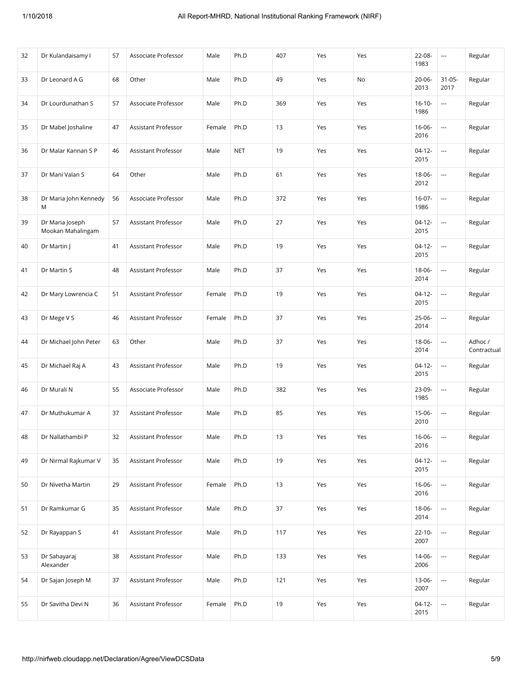| 32 | Dr Kulandaisamy I                    | 57 | Associate Professor | Male   | Ph.D       | 407 | Yes | Yes | 22-08-<br>1983      | $\overline{\phantom{a}}$ | Regular                |
|----|--------------------------------------|----|---------------------|--------|------------|-----|-----|-----|---------------------|--------------------------|------------------------|
| 33 | Dr Leonard A G                       | 68 | Other               | Male   | Ph.D       | 49  | Yes | No  | $20 - 06 -$<br>2013 | $31 - 05 -$<br>2017      | Regular                |
| 34 | Dr Lourdunathan S                    | 57 | Associate Professor | Male   | Ph.D       | 369 | Yes | Yes | $16 - 10 -$<br>1986 |                          | Regular                |
| 35 | Dr Mabel Joshaline                   | 47 | Assistant Professor | Female | Ph.D       | 13  | Yes | Yes | 16-06-<br>2016      | $\ddotsc$                | Regular                |
| 36 | Dr Malar Kannan S P                  | 46 | Assistant Professor | Male   | <b>NET</b> | 19  | Yes | Yes | $04-12-$<br>2015    | ---                      | Regular                |
| 37 | Dr Mani Valan S                      | 64 | Other               | Male   | Ph.D       | 61  | Yes | Yes | 18-06-<br>2012      | $\ddotsc$                | Regular                |
| 38 | Dr Maria John Kennedy<br>M           | 56 | Associate Professor | Male   | Ph.D       | 372 | Yes | Yes | $16-07-$<br>1986    | $\ddotsc$                | Regular                |
| 39 | Dr Maria Joseph<br>Mookan Mahalingam | 57 | Assistant Professor | Male   | Ph.D       | 27  | Yes | Yes | $04-12-$<br>2015    | $\overline{\phantom{a}}$ | Regular                |
| 40 | Dr Martin J                          | 41 | Assistant Professor | Male   | Ph.D       | 19  | Yes | Yes | $04-12-$<br>2015    | $\ddotsc$                | Regular                |
| 41 | Dr Martin S                          | 48 | Assistant Professor | Male   | Ph.D       | 37  | Yes | Yes | 18-06-<br>2014      | $\ddotsc$                | Regular                |
| 42 | Dr Mary Lowrencia C                  | 51 | Assistant Professor | Female | Ph.D       | 19  | Yes | Yes | $04-12-$<br>2015    | $\overline{\phantom{a}}$ | Regular                |
| 43 | Dr Mege V S                          | 46 | Assistant Professor | Female | Ph.D       | 37  | Yes | Yes | 25-06-<br>2014      | $\overline{\phantom{a}}$ | Regular                |
| 44 | Dr Michael John Peter                | 63 | Other               | Male   | Ph.D       | 37  | Yes | Yes | 18-06-<br>2014      | $\ddotsc$                | Adhoc /<br>Contractual |
| 45 | Dr Michael Raj A                     | 43 | Assistant Professor | Male   | Ph.D       | 19  | Yes | Yes | $04-12-$<br>2015    | $\overline{\phantom{a}}$ | Regular                |
| 46 | Dr Murali N                          | 55 | Associate Professor | Male   | Ph.D       | 382 | Yes | Yes | 23-09-<br>1985      | $\overline{\phantom{a}}$ | Regular                |
| 47 | Dr Muthukumar A                      | 37 | Assistant Professor | Male   | Ph.D       | 85  | Yes | Yes | 15-06-<br>2010      | $\overline{\phantom{a}}$ | Regular                |
| 48 | Dr Nallathambi P                     | 32 | Assistant Professor | Male   | Ph.D       | 13  | Yes | Yes | 16-06-<br>2016      |                          | Regular                |
| 49 | Dr Nirmal Rajkumar V                 | 35 | Assistant Professor | Male   | Ph.D       | 19  | Yes | Yes | $04-12-$<br>2015    | $\sim$                   | Regular                |
| 50 | Dr Nivetha Martin                    | 29 | Assistant Professor | Female | Ph.D       | 13  | Yes | Yes | 16-06-<br>2016      | $\ddotsc$                | Regular                |
| 51 | Dr Ramkumar G                        | 35 | Assistant Professor | Male   | Ph.D       | 37  | Yes | Yes | 18-06-<br>2014      |                          | Regular                |
| 52 | Dr Rayappan S                        | 41 | Assistant Professor | Male   | Ph.D       | 117 | Yes | Yes | $22 - 10 -$<br>2007 | $\sim$                   | Regular                |
| 53 | Dr Sahayaraj<br>Alexander            | 38 | Assistant Professor | Male   | Ph.D       | 133 | Yes | Yes | 14-06-<br>2006      |                          | Regular                |
| 54 | Dr Sajan Joseph M                    | 37 | Assistant Professor | Male   | Ph.D       | 121 | Yes | Yes | 13-06-<br>2007      |                          | Regular                |
| 55 | Dr Savitha Devi N                    | 36 | Assistant Professor | Female | Ph.D       | 19  | Yes | Yes | $04-12-$<br>2015    | $\hspace{0.05cm} \ldots$ | Regular                |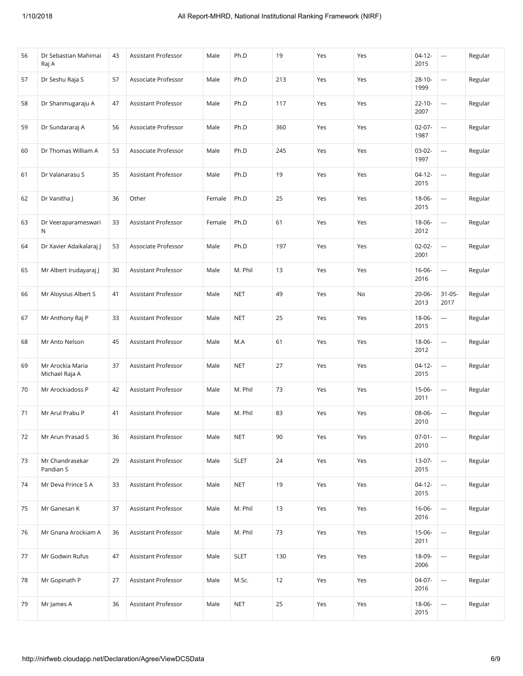| 56 | Dr Sebastian Mahimai<br>Raj A       | 43 | Assistant Professor        | Male   | Ph.D        | 19  | Yes | Yes | $04-12-$<br>2015    | $\overline{\phantom{a}}$ | Regular |
|----|-------------------------------------|----|----------------------------|--------|-------------|-----|-----|-----|---------------------|--------------------------|---------|
| 57 | Dr Seshu Raja S                     | 57 | Associate Professor        | Male   | Ph.D        | 213 | Yes | Yes | $28 - 10 -$<br>1999 | $\ddotsc$                | Regular |
| 58 | Dr Shanmugaraju A                   | 47 | Assistant Professor        | Male   | Ph.D        | 117 | Yes | Yes | $22 - 10 -$<br>2007 | $\ddotsc$                | Regular |
| 59 | Dr Sundararaj A                     | 56 | Associate Professor        | Male   | Ph.D        | 360 | Yes | Yes | $02-07-$<br>1987    | $\ddotsc$                | Regular |
| 60 | Dr Thomas William A                 | 53 | Associate Professor        | Male   | Ph.D        | 245 | Yes | Yes | $03-02-$<br>1997    | $\ddotsc$                | Regular |
| 61 | Dr Valanarasu S                     | 35 | Assistant Professor        | Male   | Ph.D        | 19  | Yes | Yes | $04-12-$<br>2015    | $\overline{\phantom{a}}$ | Regular |
| 62 | Dr Vanitha J                        | 36 | Other                      | Female | Ph.D        | 25  | Yes | Yes | 18-06-<br>2015      | $\ddotsc$                | Regular |
| 63 | Dr Veeraparameswari<br>$\mathsf{N}$ | 33 | <b>Assistant Professor</b> | Female | Ph.D        | 61  | Yes | Yes | 18-06-<br>2012      | $\ddotsc$                | Regular |
| 64 | Dr Xavier Adaikalaraj J             | 53 | Associate Professor        | Male   | Ph.D        | 197 | Yes | Yes | $02 - 02 -$<br>2001 | $\overline{\phantom{a}}$ | Regular |
| 65 | Mr Albert Irudayaraj J              | 30 | Assistant Professor        | Male   | M. Phil     | 13  | Yes | Yes | $16 - 06 -$<br>2016 | ---                      | Regular |
| 66 | Mr Aloysius Albert S                | 41 | Assistant Professor        | Male   | <b>NET</b>  | 49  | Yes | No  | 20-06-<br>2013      | $31-05-$<br>2017         | Regular |
| 67 | Mr Anthony Raj P                    | 33 | Assistant Professor        | Male   | <b>NET</b>  | 25  | Yes | Yes | 18-06-<br>2015      | $\cdots$                 | Regular |
| 68 | Mr Anto Nelson                      | 45 | Assistant Professor        | Male   | M.A         | 61  | Yes | Yes | 18-06-<br>2012      | $\overline{a}$           | Regular |
| 69 | Mr Arockia Maria<br>Michael Raja A  | 37 | Assistant Professor        | Male   | <b>NET</b>  | 27  | Yes | Yes | $04-12-$<br>2015    | ---                      | Regular |
| 70 | Mr Arockiadoss P                    | 42 | Assistant Professor        | Male   | M. Phil     | 73  | Yes | Yes | $15-06-$<br>2011    | $\overline{\phantom{a}}$ | Regular |
| 71 | Mr Arul Prabu P                     | 41 | Assistant Professor        | Male   | M. Phil     | 83  | Yes | Yes | 08-06-<br>2010      | $\overline{\phantom{a}}$ | Regular |
| 72 | Mr Arun Prasad S                    | 36 | Assistant Professor        | Male   | <b>NET</b>  | 90  | Yes | Yes | $07-01-$<br>2010    | $\overline{\phantom{a}}$ | Regular |
| 73 | Mr Chandrasekar<br>Pandian S        | 29 | Assistant Professor        | Male   | <b>SLET</b> | 24  | Yes | Yes | $13-07-$<br>2015    | $\ldots$                 | Regular |
| 74 | Mr Deva Prince S A                  | 33 | Assistant Professor        | Male   | <b>NET</b>  | 19  | Yes | Yes | 04-12-<br>2015      |                          | Regular |
| 75 | Mr Ganesan K                        | 37 | Assistant Professor        | Male   | M. Phil     | 13  | Yes | Yes | 16-06-<br>2016      | $\ldots$                 | Regular |
| 76 | Mr Gnana Arockiam A                 | 36 | Assistant Professor        | Male   | M. Phil     | 73  | Yes | Yes | 15-06-<br>2011      | $\ldots$                 | Regular |
| 77 | Mr Godwin Rufus                     | 47 | Assistant Professor        | Male   | <b>SLET</b> | 130 | Yes | Yes | 18-09-<br>2006      |                          | Regular |
| 78 | Mr Gopinath P                       | 27 | Assistant Professor        | Male   | M.Sc.       | 12  | Yes | Yes | 04-07-<br>2016      |                          | Regular |
| 79 | Mr James A                          | 36 | Assistant Professor        | Male   | <b>NET</b>  | 25  | Yes | Yes | 18-06-<br>2015      | ---                      | Regular |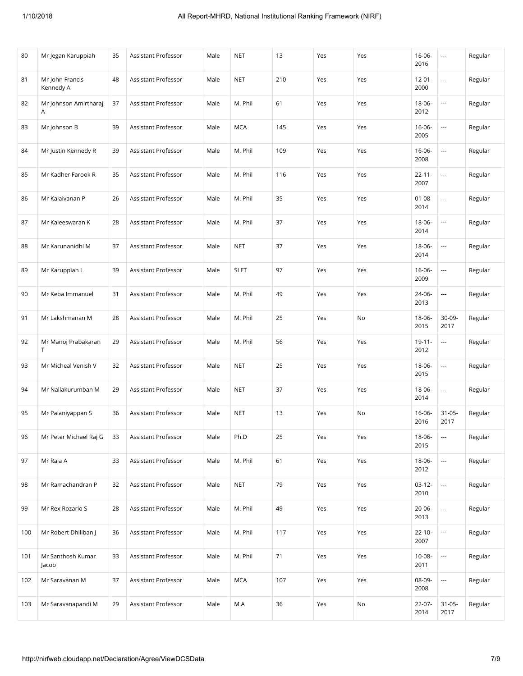| 80  | Mr Jegan Karuppiah           | 35 | Assistant Professor | Male | <b>NET</b>  | 13  | Yes | Yes | $16 - 06 -$<br>2016 | $\overline{\phantom{a}}$ | Regular |
|-----|------------------------------|----|---------------------|------|-------------|-----|-----|-----|---------------------|--------------------------|---------|
| 81  | Mr John Francis<br>Kennedy A | 48 | Assistant Professor | Male | <b>NET</b>  | 210 | Yes | Yes | $12 - 01 -$<br>2000 | $\ddotsc$                | Regular |
| 82  | Mr Johnson Amirtharaj<br>Α   | 37 | Assistant Professor | Male | M. Phil     | 61  | Yes | Yes | 18-06-<br>2012      |                          | Regular |
| 83  | Mr Johnson B                 | 39 | Assistant Professor | Male | <b>MCA</b>  | 145 | Yes | Yes | 16-06-<br>2005      | $\ddotsc$                | Regular |
| 84  | Mr Justin Kennedy R          | 39 | Assistant Professor | Male | M. Phil     | 109 | Yes | Yes | $16 - 06 -$<br>2008 |                          | Regular |
| 85  | Mr Kadher Farook R           | 35 | Assistant Professor | Male | M. Phil     | 116 | Yes | Yes | $22 - 11 -$<br>2007 | $\ddotsc$                | Regular |
| 86  | Mr Kalaivanan P              | 26 | Assistant Professor | Male | M. Phil     | 35  | Yes | Yes | $01 - 08 -$<br>2014 | $\ddotsc$                | Regular |
| 87  | Mr Kaleeswaran K             | 28 | Assistant Professor | Male | M. Phil     | 37  | Yes | Yes | 18-06-<br>2014      | $\ddotsc$                | Regular |
| 88  | Mr Karunanidhi M             | 37 | Assistant Professor | Male | <b>NET</b>  | 37  | Yes | Yes | 18-06-<br>2014      | $\ddotsc$                | Regular |
| 89  | Mr Karuppiah L               | 39 | Assistant Professor | Male | <b>SLET</b> | 97  | Yes | Yes | 16-06-<br>2009      |                          | Regular |
| 90  | Mr Keba Immanuel             | 31 | Assistant Professor | Male | M. Phil     | 49  | Yes | Yes | 24-06-<br>2013      | $\ddotsc$                | Regular |
| 91  | Mr Lakshmanan M              | 28 | Assistant Professor | Male | M. Phil     | 25  | Yes | No  | 18-06-<br>2015      | 30-09-<br>2017           | Regular |
| 92  | Mr Manoj Prabakaran<br>T     | 29 | Assistant Professor | Male | M. Phil     | 56  | Yes | Yes | $19 - 11 -$<br>2012 | $\overline{\phantom{a}}$ | Regular |
| 93  | Mr Micheal Venish V          | 32 | Assistant Professor | Male | <b>NET</b>  | 25  | Yes | Yes | 18-06-<br>2015      | $\ddotsc$                | Regular |
| 94  | Mr Nallakurumban M           | 29 | Assistant Professor | Male | <b>NET</b>  | 37  | Yes | Yes | 18-06-<br>2014      | $\overline{a}$           | Regular |
| 95  | Mr Palaniyappan S            | 36 | Assistant Professor | Male | NET         | 13  | Yes | No  | $16 - 06 -$<br>2016 | $31 - 05 -$<br>2017      | Regular |
| 96  | Mr Peter Michael Raj G       | 33 | Assistant Professor | Male | Ph.D        | 25  | Yes | Yes | 18-06-<br>2015      | $\ddotsc$                | Regular |
| 97  | Mr Raja A                    | 33 | Assistant Professor | Male | M. Phil     | 61  | Yes | Yes | 18-06-<br>2012      | $\ldots$                 | Regular |
| 98  | Mr Ramachandran P            | 32 | Assistant Professor | Male | <b>NET</b>  | 79  | Yes | Yes | $03-12-$<br>2010    | $\overline{\phantom{a}}$ | Regular |
| 99  | Mr Rex Rozario S             | 28 | Assistant Professor | Male | M. Phil     | 49  | Yes | Yes | 20-06-<br>2013      |                          | Regular |
| 100 | Mr Robert Dhiliban J         | 36 | Assistant Professor | Male | M. Phil     | 117 | Yes | Yes | $22 - 10 -$<br>2007 | $\ldots$                 | Regular |
| 101 | Mr Santhosh Kumar<br>Jacob   | 33 | Assistant Professor | Male | M. Phil     | 71  | Yes | Yes | 10-08-<br>2011      |                          | Regular |
| 102 | Mr Saravanan M               | 37 | Assistant Professor | Male | <b>MCA</b>  | 107 | Yes | Yes | 08-09-<br>2008      |                          | Regular |
| 103 | Mr Saravanapandi M           | 29 | Assistant Professor | Male | M.A         | 36  | Yes | No  | 22-07-<br>2014      | $31 - 05 -$<br>2017      | Regular |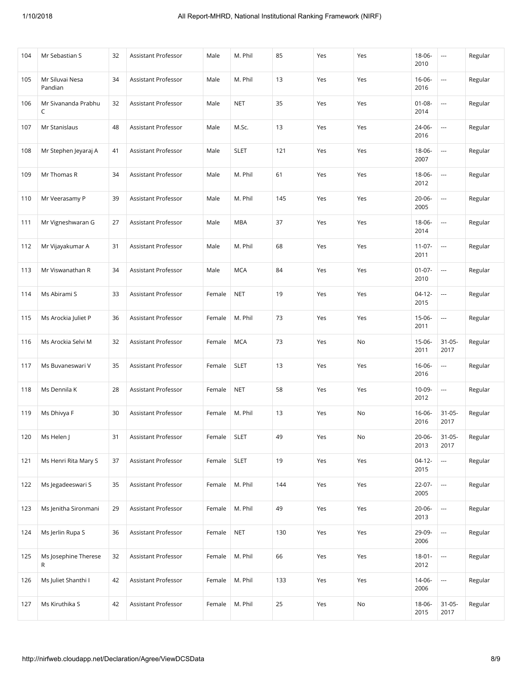| 104 | Mr Sebastian S             | 32 | Assistant Professor | Male   | M. Phil     | 85  | Yes | Yes | 18-06-<br>2010      | $\sim$                   | Regular |
|-----|----------------------------|----|---------------------|--------|-------------|-----|-----|-----|---------------------|--------------------------|---------|
| 105 | Mr Siluvai Nesa<br>Pandian | 34 | Assistant Professor | Male   | M. Phil     | 13  | Yes | Yes | $16 - 06 -$<br>2016 | $\overline{\phantom{a}}$ | Regular |
| 106 | Mr Sivananda Prabhu<br>C   | 32 | Assistant Professor | Male   | <b>NET</b>  | 35  | Yes | Yes | $01 - 08 -$<br>2014 | ---                      | Regular |
| 107 | Mr Stanislaus              | 48 | Assistant Professor | Male   | M.Sc.       | 13  | Yes | Yes | 24-06-<br>2016      | ---                      | Regular |
| 108 | Mr Stephen Jeyaraj A       | 41 | Assistant Professor | Male   | <b>SLET</b> | 121 | Yes | Yes | $18 - 06 -$<br>2007 | ---                      | Regular |
| 109 | Mr Thomas R                | 34 | Assistant Professor | Male   | M. Phil     | 61  | Yes | Yes | 18-06-<br>2012      | ---                      | Regular |
| 110 | Mr Veerasamy P             | 39 | Assistant Professor | Male   | M. Phil     | 145 | Yes | Yes | $20 - 06 -$<br>2005 | ---                      | Regular |
| 111 | Mr Vigneshwaran G          | 27 | Assistant Professor | Male   | <b>MBA</b>  | 37  | Yes | Yes | 18-06-<br>2014      | $\overline{\phantom{a}}$ | Regular |
| 112 | Mr Vijayakumar A           | 31 | Assistant Professor | Male   | M. Phil     | 68  | Yes | Yes | $11-07-$<br>2011    | $\sim$                   | Regular |
| 113 | Mr Viswanathan R           | 34 | Assistant Professor | Male   | <b>MCA</b>  | 84  | Yes | Yes | $01-07-$<br>2010    | ---                      | Regular |
| 114 | Ms Abirami S               | 33 | Assistant Professor | Female | <b>NET</b>  | 19  | Yes | Yes | $04-12-$<br>2015    | ---                      | Regular |
| 115 | Ms Arockia Juliet P        | 36 | Assistant Professor | Female | M. Phil     | 73  | Yes | Yes | $15-06-$<br>2011    | $\overline{\phantom{a}}$ | Regular |
| 116 | Ms Arockia Selvi M         | 32 | Assistant Professor | Female | <b>MCA</b>  | 73  | Yes | No  | 15-06-<br>2011      | $31 - 05 -$<br>2017      | Regular |
| 117 | Ms Buvaneswari V           | 35 | Assistant Professor | Female | <b>SLET</b> | 13  | Yes | Yes | $16 - 06 -$<br>2016 | ---                      | Regular |
| 118 | Ms Dennila K               | 28 | Assistant Professor | Female | <b>NET</b>  | 58  | Yes | Yes | $10-09-$<br>2012    | $\overline{\phantom{a}}$ | Regular |
| 119 | Ms Dhivya F                | 30 | Assistant Professor | Female | M. Phil     | 13  | Yes | No  | 16-06-<br>2016      | $31 - 05 -$<br>2017      | Regular |
| 120 | Ms Helen J                 | 31 | Assistant Professor | Female | <b>SLET</b> | 49  | Yes | No  | $20 - 06 -$<br>2013 | $31 - 05 -$<br>2017      | Regular |
| 121 | Ms Henri Rita Mary S       | 37 | Assistant Professor | Female | <b>SLET</b> | 19  | Yes | Yes | $04-12-$<br>2015    | $\ldots$                 | Regular |
| 122 | Ms Jegadeeswari S          | 35 | Assistant Professor | Female | M. Phil     | 144 | Yes | Yes | 22-07-<br>2005      | ---                      | Regular |
| 123 | Ms Jenitha Sironmani       | 29 | Assistant Professor | Female | M. Phil     | 49  | Yes | Yes | 20-06-<br>2013      | ---                      | Regular |
| 124 | Ms Jerlin Rupa S           | 36 | Assistant Professor | Female | <b>NET</b>  | 130 | Yes | Yes | 29-09-<br>2006      | $\ldots$                 | Regular |
| 125 | Ms Josephine Therese<br>R  | 32 | Assistant Professor | Female | M. Phil     | 66  | Yes | Yes | $18 - 01 -$<br>2012 | ---                      | Regular |
| 126 | Ms Juliet Shanthi I        | 42 | Assistant Professor | Female | M. Phil     | 133 | Yes | Yes | 14-06-<br>2006      | ---                      | Regular |
| 127 | Ms Kiruthika S             | 42 | Assistant Professor | Female | M. Phil     | 25  | Yes | No  | 18-06-<br>2015      | $31 - 05 -$<br>2017      | Regular |